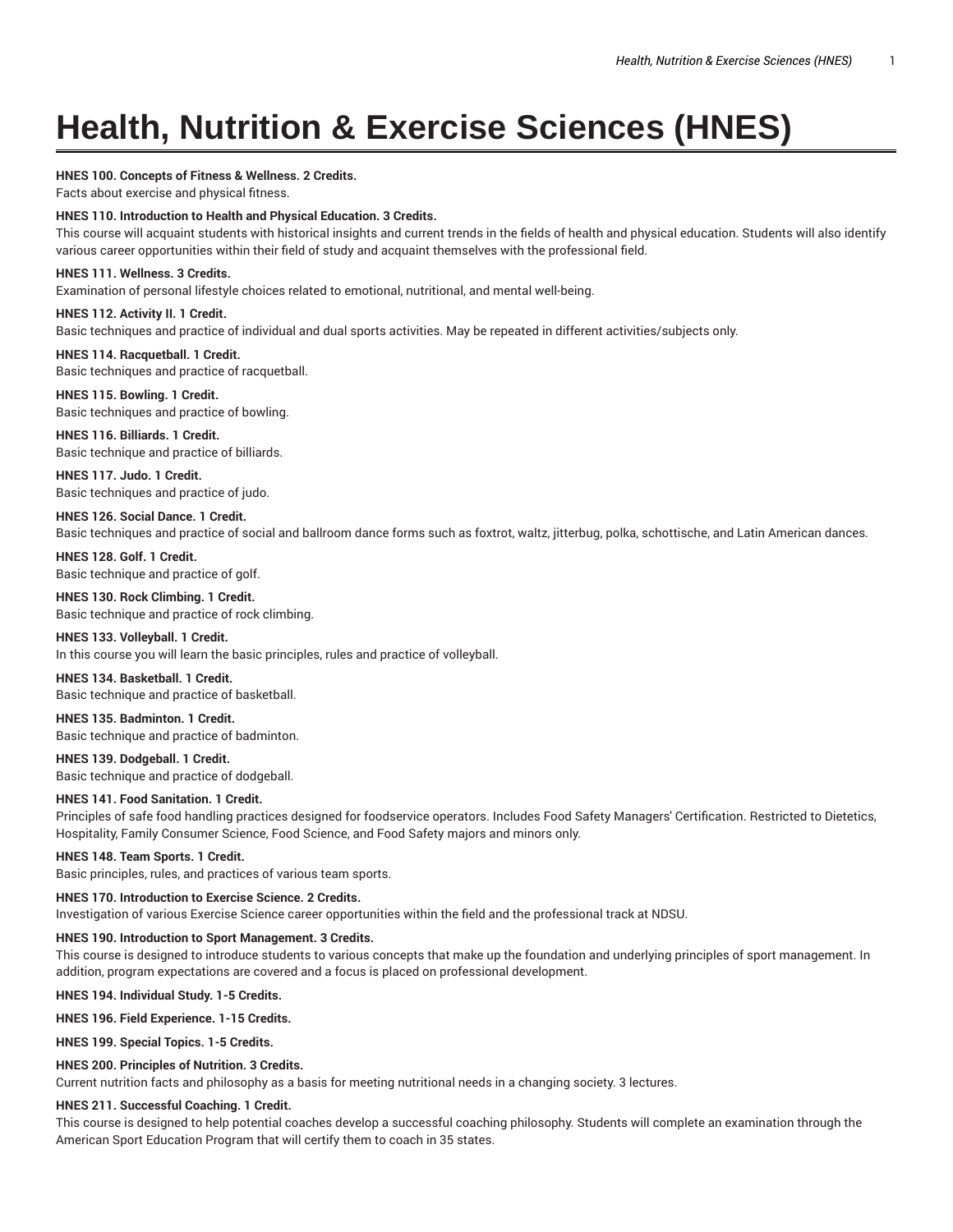# **Health, Nutrition & Exercise Sciences (HNES)**

# **HNES 100. Concepts of Fitness & Wellness. 2 Credits.**

Facts about exercise and physical fitness.

# **HNES 110. Introduction to Health and Physical Education. 3 Credits.**

This course will acquaint students with historical insights and current trends in the fields of health and physical education. Students will also identify various career opportunities within their field of study and acquaint themselves with the professional field.

# **HNES 111. Wellness. 3 Credits.**

Examination of personal lifestyle choices related to emotional, nutritional, and mental well-being.

# **HNES 112. Activity II. 1 Credit.**

Basic techniques and practice of individual and dual sports activities. May be repeated in different activities/subjects only.

**HNES 114. Racquetball. 1 Credit.** Basic techniques and practice of racquetball.

# **HNES 115. Bowling. 1 Credit.** Basic techniques and practice of bowling.

**HNES 116. Billiards. 1 Credit.**

Basic technique and practice of billiards.

**HNES 117. Judo. 1 Credit.** Basic techniques and practice of judo.

# **HNES 126. Social Dance. 1 Credit.** Basic techniques and practice of social and ballroom dance forms such as foxtrot, waltz, jitterbug, polka, schottische, and Latin American dances.

**HNES 128. Golf. 1 Credit.** Basic technique and practice of golf.

**HNES 130. Rock Climbing. 1 Credit.** Basic technique and practice of rock climbing.

**HNES 133. Volleyball. 1 Credit.** In this course you will learn the basic principles, rules and practice of volleyball.

**HNES 134. Basketball. 1 Credit.** Basic technique and practice of basketball.

**HNES 135. Badminton. 1 Credit.** Basic technique and practice of badminton.

**HNES 139. Dodgeball. 1 Credit.** Basic technique and practice of dodgeball.

# **HNES 141. Food Sanitation. 1 Credit.**

Principles of safe food handling practices designed for foodservice operators. Includes Food Safety Managers' Certification. Restricted to Dietetics, Hospitality, Family Consumer Science, Food Science, and Food Safety majors and minors only.

# **HNES 148. Team Sports. 1 Credit.**

Basic principles, rules, and practices of various team sports.

# **HNES 170. Introduction to Exercise Science. 2 Credits.**

Investigation of various Exercise Science career opportunities within the field and the professional track at NDSU.

# **HNES 190. Introduction to Sport Management. 3 Credits.**

This course is designed to introduce students to various concepts that make up the foundation and underlying principles of sport management. In addition, program expectations are covered and a focus is placed on professional development.

**HNES 194. Individual Study. 1-5 Credits.**

# **HNES 196. Field Experience. 1-15 Credits.**

**HNES 199. Special Topics. 1-5 Credits.**

# **HNES 200. Principles of Nutrition. 3 Credits.**

Current nutrition facts and philosophy as a basis for meeting nutritional needs in a changing society. 3 lectures.

# **HNES 211. Successful Coaching. 1 Credit.**

This course is designed to help potential coaches develop a successful coaching philosophy. Students will complete an examination through the American Sport Education Program that will certify them to coach in 35 states.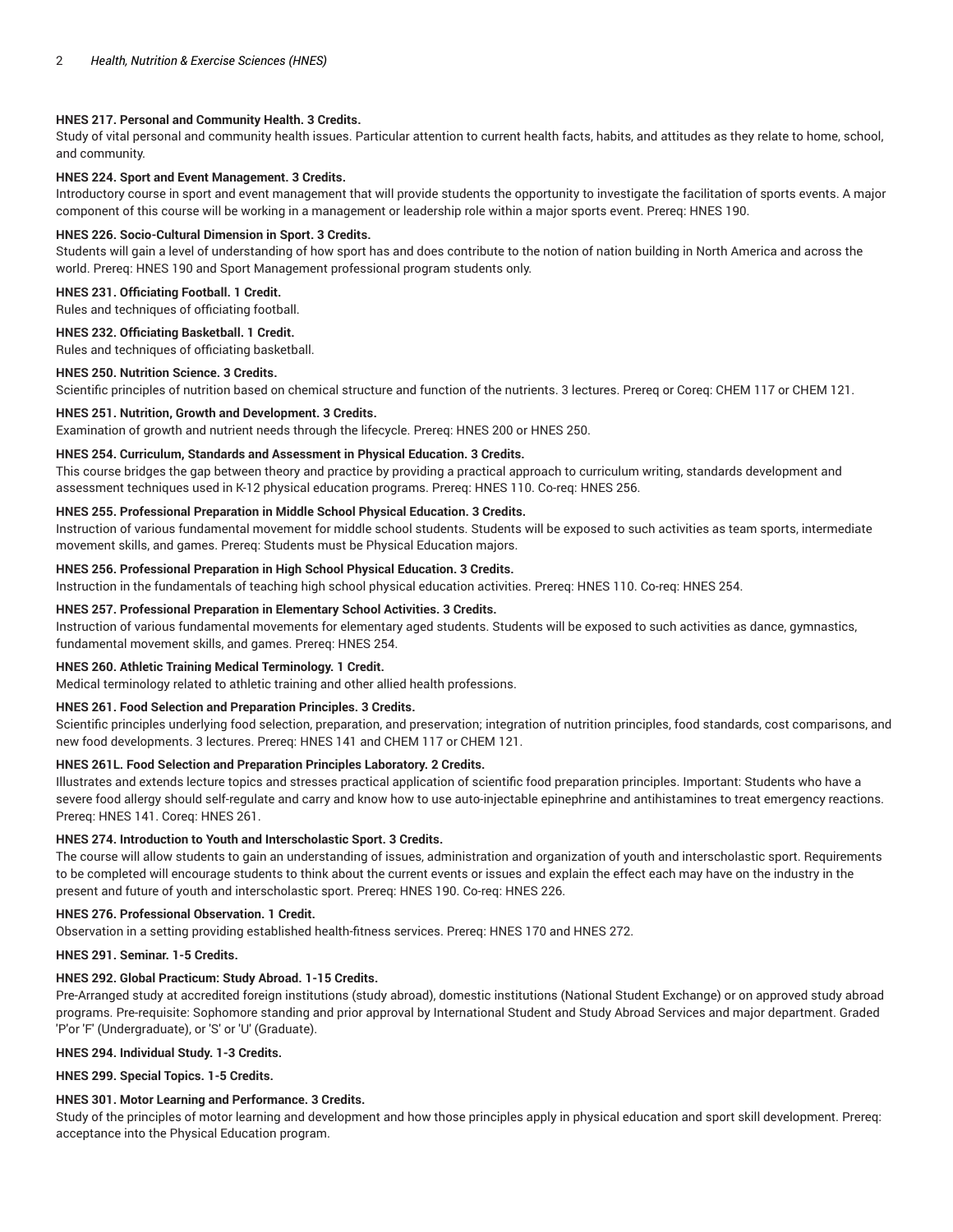### **HNES 217. Personal and Community Health. 3 Credits.**

Study of vital personal and community health issues. Particular attention to current health facts, habits, and attitudes as they relate to home, school, and community.

# **HNES 224. Sport and Event Management. 3 Credits.**

Introductory course in sport and event management that will provide students the opportunity to investigate the facilitation of sports events. A major component of this course will be working in a management or leadership role within a major sports event. Prereq: HNES 190.

### **HNES 226. Socio-Cultural Dimension in Sport. 3 Credits.**

Students will gain a level of understanding of how sport has and does contribute to the notion of nation building in North America and across the world. Prereq: HNES 190 and Sport Management professional program students only.

# **HNES 231. Officiating Football. 1 Credit.**

Rules and techniques of officiating football.

### **HNES 232. Officiating Basketball. 1 Credit.**

Rules and techniques of officiating basketball.

### **HNES 250. Nutrition Science. 3 Credits.**

Scientific principles of nutrition based on chemical structure and function of the nutrients. 3 lectures. Prereq or Coreq: CHEM 117 or CHEM 121.

### **HNES 251. Nutrition, Growth and Development. 3 Credits.**

Examination of growth and nutrient needs through the lifecycle. Prereq: HNES 200 or HNES 250.

# **HNES 254. Curriculum, Standards and Assessment in Physical Education. 3 Credits.**

This course bridges the gap between theory and practice by providing a practical approach to curriculum writing, standards development and assessment techniques used in K-12 physical education programs. Prereq: HNES 110. Co-req: HNES 256.

# **HNES 255. Professional Preparation in Middle School Physical Education. 3 Credits.**

Instruction of various fundamental movement for middle school students. Students will be exposed to such activities as team sports, intermediate movement skills, and games. Prereq: Students must be Physical Education majors.

# **HNES 256. Professional Preparation in High School Physical Education. 3 Credits.**

Instruction in the fundamentals of teaching high school physical education activities. Prereq: HNES 110. Co-req: HNES 254.

# **HNES 257. Professional Preparation in Elementary School Activities. 3 Credits.**

Instruction of various fundamental movements for elementary aged students. Students will be exposed to such activities as dance, gymnastics, fundamental movement skills, and games. Prereq: HNES 254.

# **HNES 260. Athletic Training Medical Terminology. 1 Credit.**

Medical terminology related to athletic training and other allied health professions.

### **HNES 261. Food Selection and Preparation Principles. 3 Credits.**

Scientific principles underlying food selection, preparation, and preservation; integration of nutrition principles, food standards, cost comparisons, and new food developments. 3 lectures. Prereq: HNES 141 and CHEM 117 or CHEM 121.

### **HNES 261L. Food Selection and Preparation Principles Laboratory. 2 Credits.**

Illustrates and extends lecture topics and stresses practical application of scientific food preparation principles. Important: Students who have a severe food allergy should self-regulate and carry and know how to use auto-injectable epinephrine and antihistamines to treat emergency reactions. Prereq: HNES 141. Coreq: HNES 261.

### **HNES 274. Introduction to Youth and Interscholastic Sport. 3 Credits.**

The course will allow students to gain an understanding of issues, administration and organization of youth and interscholastic sport. Requirements to be completed will encourage students to think about the current events or issues and explain the effect each may have on the industry in the present and future of youth and interscholastic sport. Prereq: HNES 190. Co-req: HNES 226.

### **HNES 276. Professional Observation. 1 Credit.**

Observation in a setting providing established health-fitness services. Prereq: HNES 170 and HNES 272.

### **HNES 291. Seminar. 1-5 Credits.**

# **HNES 292. Global Practicum: Study Abroad. 1-15 Credits.**

Pre-Arranged study at accredited foreign institutions (study abroad), domestic institutions (National Student Exchange) or on approved study abroad programs. Pre-requisite: Sophomore standing and prior approval by International Student and Study Abroad Services and major department. Graded 'P'or 'F' (Undergraduate), or 'S' or 'U' (Graduate).

# **HNES 294. Individual Study. 1-3 Credits.**

**HNES 299. Special Topics. 1-5 Credits.**

# **HNES 301. Motor Learning and Performance. 3 Credits.**

Study of the principles of motor learning and development and how those principles apply in physical education and sport skill development. Prereq: acceptance into the Physical Education program.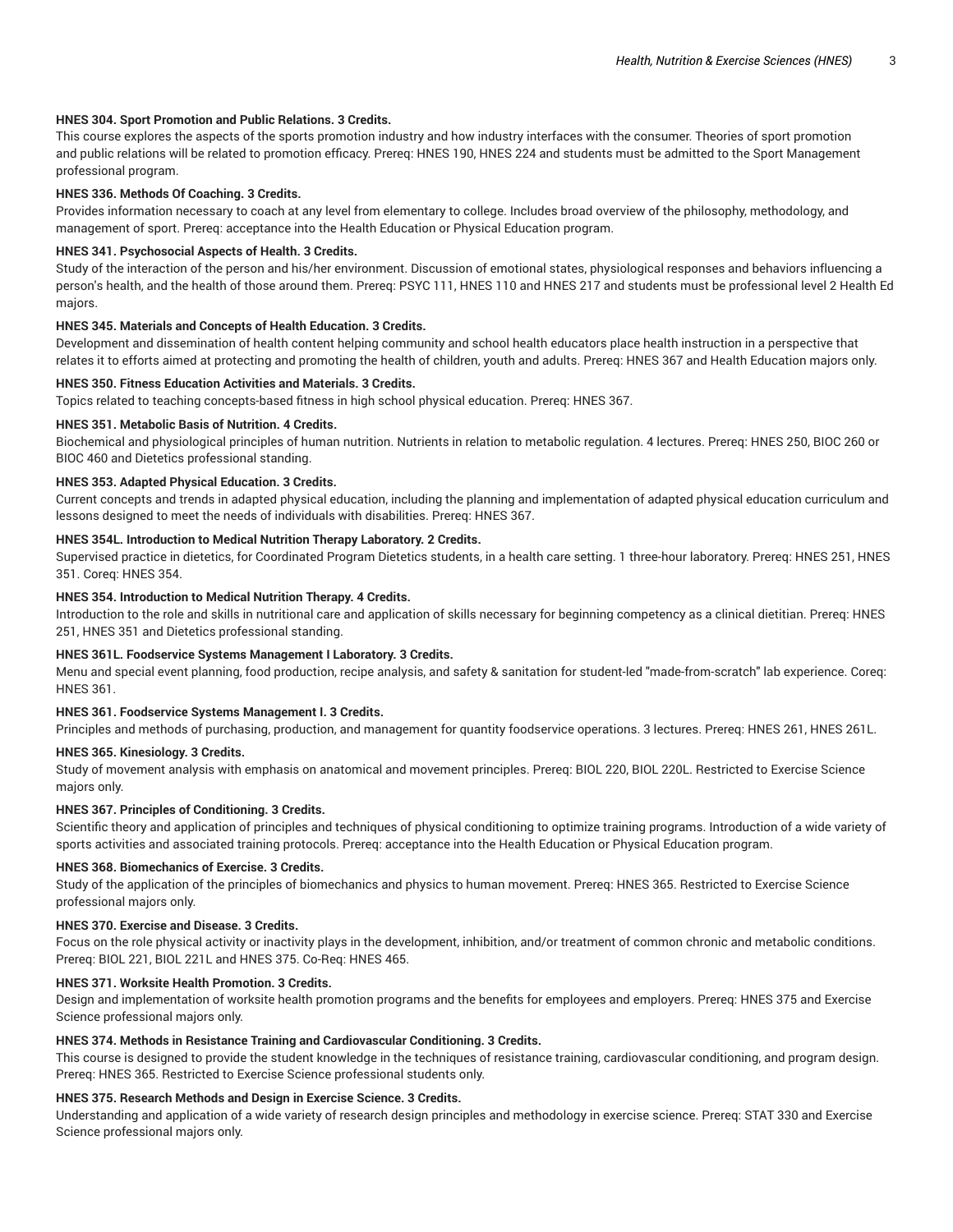### **HNES 304. Sport Promotion and Public Relations. 3 Credits.**

This course explores the aspects of the sports promotion industry and how industry interfaces with the consumer. Theories of sport promotion and public relations will be related to promotion efficacy. Prereq: HNES 190, HNES 224 and students must be admitted to the Sport Management professional program.

### **HNES 336. Methods Of Coaching. 3 Credits.**

Provides information necessary to coach at any level from elementary to college. Includes broad overview of the philosophy, methodology, and management of sport. Prereq: acceptance into the Health Education or Physical Education program.

### **HNES 341. Psychosocial Aspects of Health. 3 Credits.**

Study of the interaction of the person and his/her environment. Discussion of emotional states, physiological responses and behaviors influencing a person's health, and the health of those around them. Prereq: PSYC 111, HNES 110 and HNES 217 and students must be professional level 2 Health Ed majors.

### **HNES 345. Materials and Concepts of Health Education. 3 Credits.**

Development and dissemination of health content helping community and school health educators place health instruction in a perspective that relates it to efforts aimed at protecting and promoting the health of children, youth and adults. Prereq: HNES 367 and Health Education majors only.

### **HNES 350. Fitness Education Activities and Materials. 3 Credits.**

Topics related to teaching concepts-based fitness in high school physical education. Prereq: HNES 367.

### **HNES 351. Metabolic Basis of Nutrition. 4 Credits.**

Biochemical and physiological principles of human nutrition. Nutrients in relation to metabolic regulation. 4 lectures. Prereq: HNES 250, BIOC 260 or BIOC 460 and Dietetics professional standing.

### **HNES 353. Adapted Physical Education. 3 Credits.**

Current concepts and trends in adapted physical education, including the planning and implementation of adapted physical education curriculum and lessons designed to meet the needs of individuals with disabilities. Prereq: HNES 367.

### **HNES 354L. Introduction to Medical Nutrition Therapy Laboratory. 2 Credits.**

Supervised practice in dietetics, for Coordinated Program Dietetics students, in a health care setting. 1 three-hour laboratory. Prereq: HNES 251, HNES 351. Coreq: HNES 354.

# **HNES 354. Introduction to Medical Nutrition Therapy. 4 Credits.**

Introduction to the role and skills in nutritional care and application of skills necessary for beginning competency as a clinical dietitian. Prereq: HNES 251, HNES 351 and Dietetics professional standing.

### **HNES 361L. Foodservice Systems Management I Laboratory. 3 Credits.**

Menu and special event planning, food production, recipe analysis, and safety & sanitation for student-led "made-from-scratch" lab experience. Coreq: HNES 361.

### **HNES 361. Foodservice Systems Management I. 3 Credits.**

Principles and methods of purchasing, production, and management for quantity foodservice operations. 3 lectures. Prereq: HNES 261, HNES 261L.

### **HNES 365. Kinesiology. 3 Credits.**

Study of movement analysis with emphasis on anatomical and movement principles. Prereq: BIOL 220, BIOL 220L. Restricted to Exercise Science majors only.

# **HNES 367. Principles of Conditioning. 3 Credits.**

Scientific theory and application of principles and techniques of physical conditioning to optimize training programs. Introduction of a wide variety of sports activities and associated training protocols. Prereq: acceptance into the Health Education or Physical Education program.

### **HNES 368. Biomechanics of Exercise. 3 Credits.**

Study of the application of the principles of biomechanics and physics to human movement. Prereq: HNES 365. Restricted to Exercise Science professional majors only.

# **HNES 370. Exercise and Disease. 3 Credits.**

Focus on the role physical activity or inactivity plays in the development, inhibition, and/or treatment of common chronic and metabolic conditions. Prereq: BIOL 221, BIOL 221L and HNES 375. Co-Req: HNES 465.

# **HNES 371. Worksite Health Promotion. 3 Credits.**

Design and implementation of worksite health promotion programs and the benefits for employees and employers. Prereq: HNES 375 and Exercise Science professional majors only.

# **HNES 374. Methods in Resistance Training and Cardiovascular Conditioning. 3 Credits.**

This course is designed to provide the student knowledge in the techniques of resistance training, cardiovascular conditioning, and program design. Prereq: HNES 365. Restricted to Exercise Science professional students only.

### **HNES 375. Research Methods and Design in Exercise Science. 3 Credits.**

Understanding and application of a wide variety of research design principles and methodology in exercise science. Prereq: STAT 330 and Exercise Science professional majors only.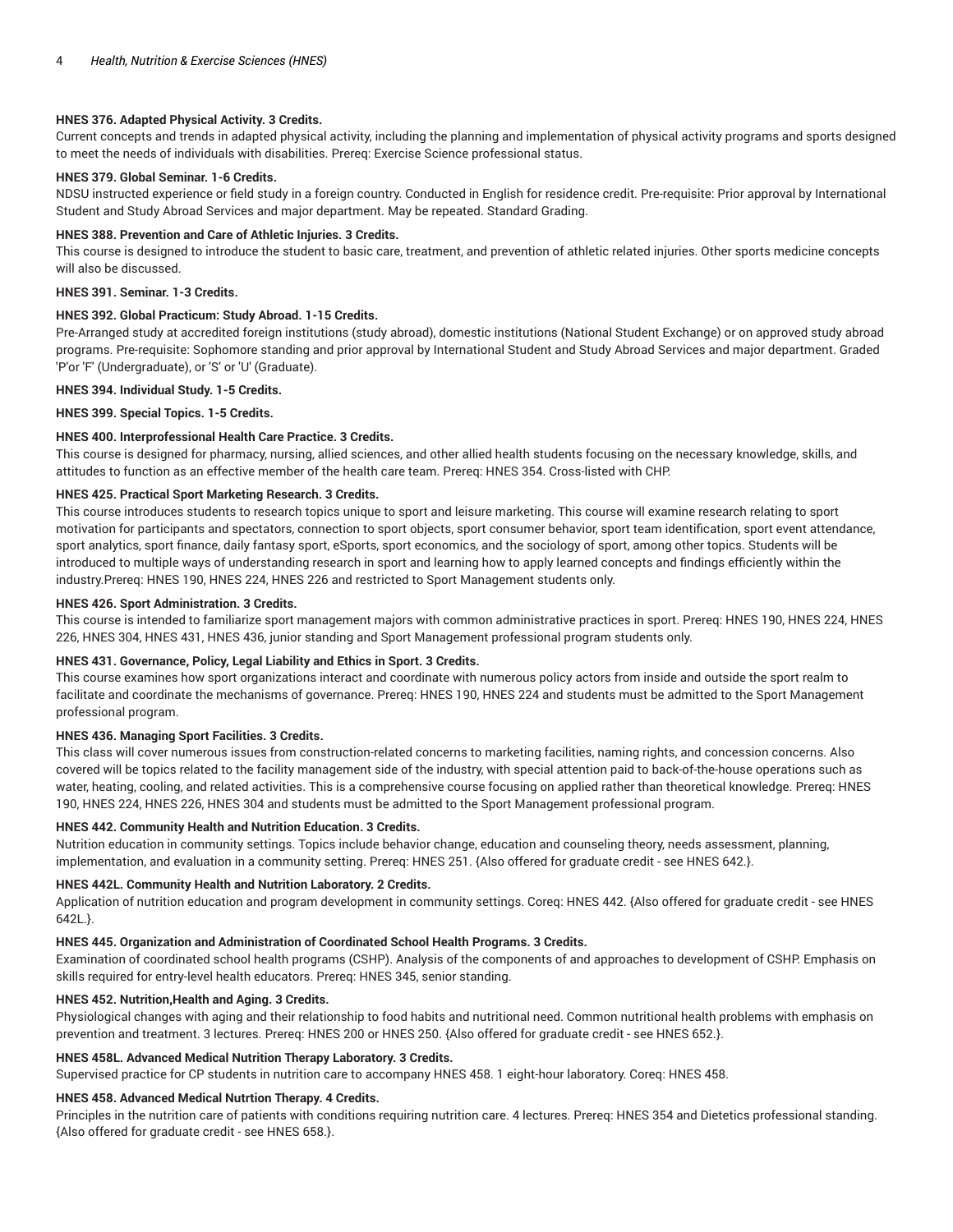# **HNES 376. Adapted Physical Activity. 3 Credits.**

Current concepts and trends in adapted physical activity, including the planning and implementation of physical activity programs and sports designed to meet the needs of individuals with disabilities. Prereq: Exercise Science professional status.

# **HNES 379. Global Seminar. 1-6 Credits.**

NDSU instructed experience or field study in a foreign country. Conducted in English for residence credit. Pre-requisite: Prior approval by International Student and Study Abroad Services and major department. May be repeated. Standard Grading.

# **HNES 388. Prevention and Care of Athletic Injuries. 3 Credits.**

This course is designed to introduce the student to basic care, treatment, and prevention of athletic related injuries. Other sports medicine concepts will also be discussed.

# **HNES 391. Seminar. 1-3 Credits.**

# **HNES 392. Global Practicum: Study Abroad. 1-15 Credits.**

Pre-Arranged study at accredited foreign institutions (study abroad), domestic institutions (National Student Exchange) or on approved study abroad programs. Pre-requisite: Sophomore standing and prior approval by International Student and Study Abroad Services and major department. Graded 'P'or 'F' (Undergraduate), or 'S' or 'U' (Graduate).

### **HNES 394. Individual Study. 1-5 Credits.**

**HNES 399. Special Topics. 1-5 Credits.**

# **HNES 400. Interprofessional Health Care Practice. 3 Credits.**

This course is designed for pharmacy, nursing, allied sciences, and other allied health students focusing on the necessary knowledge, skills, and attitudes to function as an effective member of the health care team. Prereq: HNES 354. Cross-listed with CHP.

# **HNES 425. Practical Sport Marketing Research. 3 Credits.**

This course introduces students to research topics unique to sport and leisure marketing. This course will examine research relating to sport motivation for participants and spectators, connection to sport objects, sport consumer behavior, sport team identification, sport event attendance, sport analytics, sport finance, daily fantasy sport, eSports, sport economics, and the sociology of sport, among other topics. Students will be introduced to multiple ways of understanding research in sport and learning how to apply learned concepts and findings efficiently within the industry.Prereq: HNES 190, HNES 224, HNES 226 and restricted to Sport Management students only.

### **HNES 426. Sport Administration. 3 Credits.**

This course is intended to familiarize sport management majors with common administrative practices in sport. Prereq: HNES 190, HNES 224, HNES 226, HNES 304, HNES 431, HNES 436, junior standing and Sport Management professional program students only.

# **HNES 431. Governance, Policy, Legal Liability and Ethics in Sport. 3 Credits.**

This course examines how sport organizations interact and coordinate with numerous policy actors from inside and outside the sport realm to facilitate and coordinate the mechanisms of governance. Prereq: HNES 190, HNES 224 and students must be admitted to the Sport Management professional program.

# **HNES 436. Managing Sport Facilities. 3 Credits.**

This class will cover numerous issues from construction-related concerns to marketing facilities, naming rights, and concession concerns. Also covered will be topics related to the facility management side of the industry, with special attention paid to back-of-the-house operations such as water, heating, cooling, and related activities. This is a comprehensive course focusing on applied rather than theoretical knowledge. Prereq: HNES 190, HNES 224, HNES 226, HNES 304 and students must be admitted to the Sport Management professional program.

# **HNES 442. Community Health and Nutrition Education. 3 Credits.**

Nutrition education in community settings. Topics include behavior change, education and counseling theory, needs assessment, planning, implementation, and evaluation in a community setting. Prereq: HNES 251. {Also offered for graduate credit - see HNES 642.}.

# **HNES 442L. Community Health and Nutrition Laboratory. 2 Credits.**

Application of nutrition education and program development in community settings. Coreq: HNES 442. {Also offered for graduate credit - see HNES 642L.}.

### **HNES 445. Organization and Administration of Coordinated School Health Programs. 3 Credits.**

Examination of coordinated school health programs (CSHP). Analysis of the components of and approaches to development of CSHP. Emphasis on skills required for entry-level health educators. Prereq: HNES 345, senior standing.

# **HNES 452. Nutrition,Health and Aging. 3 Credits.**

Physiological changes with aging and their relationship to food habits and nutritional need. Common nutritional health problems with emphasis on prevention and treatment. 3 lectures. Prereq: HNES 200 or HNES 250. {Also offered for graduate credit - see HNES 652.}.

# **HNES 458L. Advanced Medical Nutrition Therapy Laboratory. 3 Credits.**

Supervised practice for CP students in nutrition care to accompany HNES 458. 1 eight-hour laboratory. Coreq: HNES 458.

### **HNES 458. Advanced Medical Nutrtion Therapy. 4 Credits.**

Principles in the nutrition care of patients with conditions requiring nutrition care. 4 lectures. Prereq: HNES 354 and Dietetics professional standing. {Also offered for graduate credit - see HNES 658.}.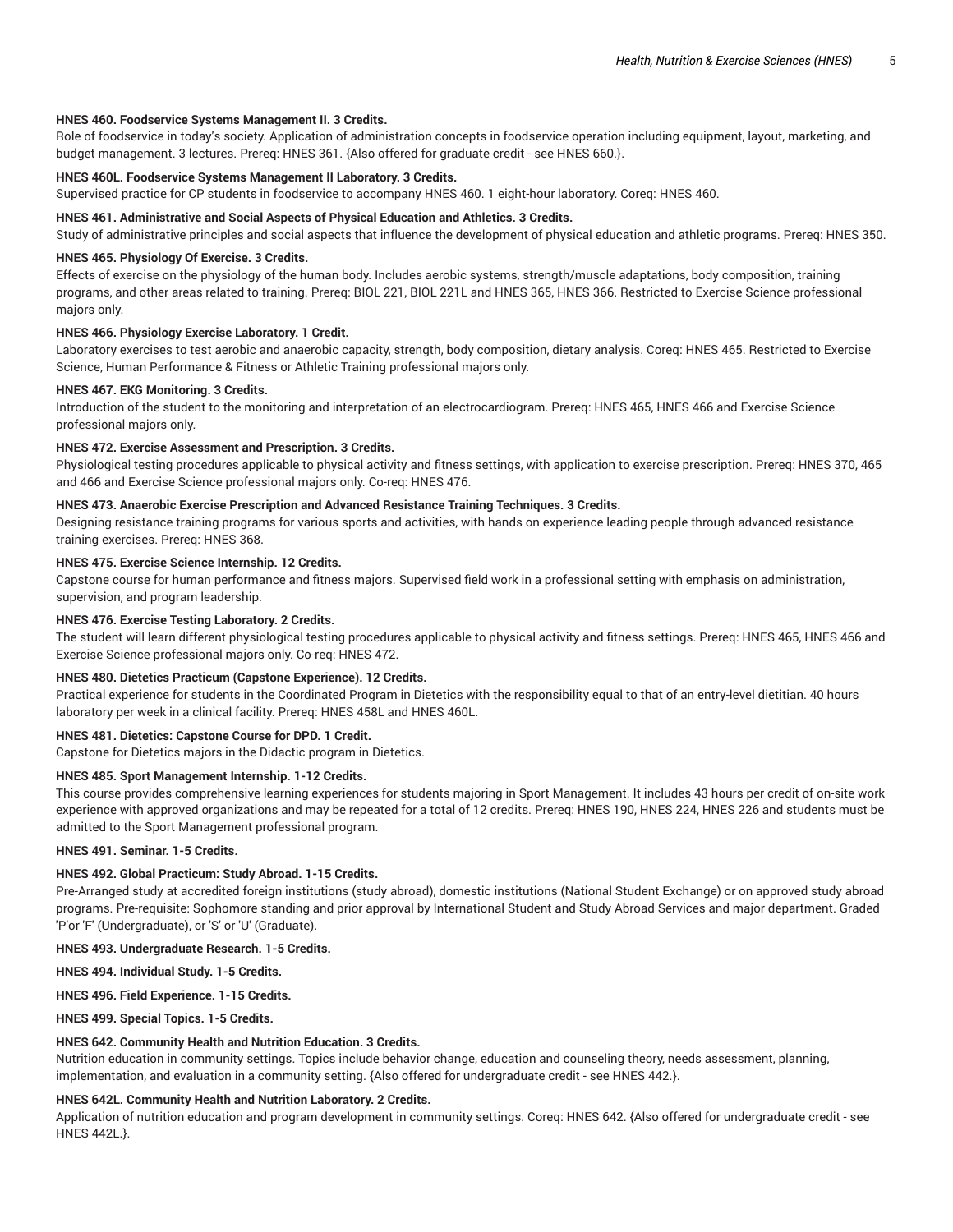### **HNES 460. Foodservice Systems Management II. 3 Credits.**

Role of foodservice in today's society. Application of administration concepts in foodservice operation including equipment, layout, marketing, and budget management. 3 lectures. Prereq: HNES 361. {Also offered for graduate credit - see HNES 660.}.

### **HNES 460L. Foodservice Systems Management II Laboratory. 3 Credits.**

Supervised practice for CP students in foodservice to accompany HNES 460. 1 eight-hour laboratory. Coreq: HNES 460.

### **HNES 461. Administrative and Social Aspects of Physical Education and Athletics. 3 Credits.**

Study of administrative principles and social aspects that influence the development of physical education and athletic programs. Prereq: HNES 350.

### **HNES 465. Physiology Of Exercise. 3 Credits.**

Effects of exercise on the physiology of the human body. Includes aerobic systems, strength/muscle adaptations, body composition, training programs, and other areas related to training. Prereq: BIOL 221, BIOL 221L and HNES 365, HNES 366. Restricted to Exercise Science professional majors only.

#### **HNES 466. Physiology Exercise Laboratory. 1 Credit.**

Laboratory exercises to test aerobic and anaerobic capacity, strength, body composition, dietary analysis. Coreq: HNES 465. Restricted to Exercise Science, Human Performance & Fitness or Athletic Training professional majors only.

# **HNES 467. EKG Monitoring. 3 Credits.**

Introduction of the student to the monitoring and interpretation of an electrocardiogram. Prereq: HNES 465, HNES 466 and Exercise Science professional majors only.

### **HNES 472. Exercise Assessment and Prescription. 3 Credits.**

Physiological testing procedures applicable to physical activity and fitness settings, with application to exercise prescription. Prereq: HNES 370, 465 and 466 and Exercise Science professional majors only. Co-req: HNES 476.

# **HNES 473. Anaerobic Exercise Prescription and Advanced Resistance Training Techniques. 3 Credits.**

Designing resistance training programs for various sports and activities, with hands on experience leading people through advanced resistance training exercises. Prereq: HNES 368.

# **HNES 475. Exercise Science Internship. 12 Credits.**

Capstone course for human performance and fitness majors. Supervised field work in a professional setting with emphasis on administration, supervision, and program leadership.

### **HNES 476. Exercise Testing Laboratory. 2 Credits.**

The student will learn different physiological testing procedures applicable to physical activity and fitness settings. Prereq: HNES 465, HNES 466 and Exercise Science professional majors only. Co-req: HNES 472.

### **HNES 480. Dietetics Practicum (Capstone Experience). 12 Credits.**

Practical experience for students in the Coordinated Program in Dietetics with the responsibility equal to that of an entry-level dietitian. 40 hours laboratory per week in a clinical facility. Prereq: HNES 458L and HNES 460L.

### **HNES 481. Dietetics: Capstone Course for DPD. 1 Credit.**

Capstone for Dietetics majors in the Didactic program in Dietetics.

### **HNES 485. Sport Management Internship. 1-12 Credits.**

This course provides comprehensive learning experiences for students majoring in Sport Management. It includes 43 hours per credit of on-site work experience with approved organizations and may be repeated for a total of 12 credits. Prereq: HNES 190, HNES 224, HNES 226 and students must be admitted to the Sport Management professional program.

### **HNES 491. Seminar. 1-5 Credits.**

### **HNES 492. Global Practicum: Study Abroad. 1-15 Credits.**

Pre-Arranged study at accredited foreign institutions (study abroad), domestic institutions (National Student Exchange) or on approved study abroad programs. Pre-requisite: Sophomore standing and prior approval by International Student and Study Abroad Services and major department. Graded 'P'or 'F' (Undergraduate), or 'S' or 'U' (Graduate).

# **HNES 493. Undergraduate Research. 1-5 Credits.**

**HNES 494. Individual Study. 1-5 Credits.**

#### **HNES 496. Field Experience. 1-15 Credits.**

**HNES 499. Special Topics. 1-5 Credits.**

### **HNES 642. Community Health and Nutrition Education. 3 Credits.**

Nutrition education in community settings. Topics include behavior change, education and counseling theory, needs assessment, planning, implementation, and evaluation in a community setting. {Also offered for undergraduate credit - see HNES 442.}.

#### **HNES 642L. Community Health and Nutrition Laboratory. 2 Credits.**

Application of nutrition education and program development in community settings. Coreq: HNES 642. {Also offered for undergraduate credit - see HNES 442L.}.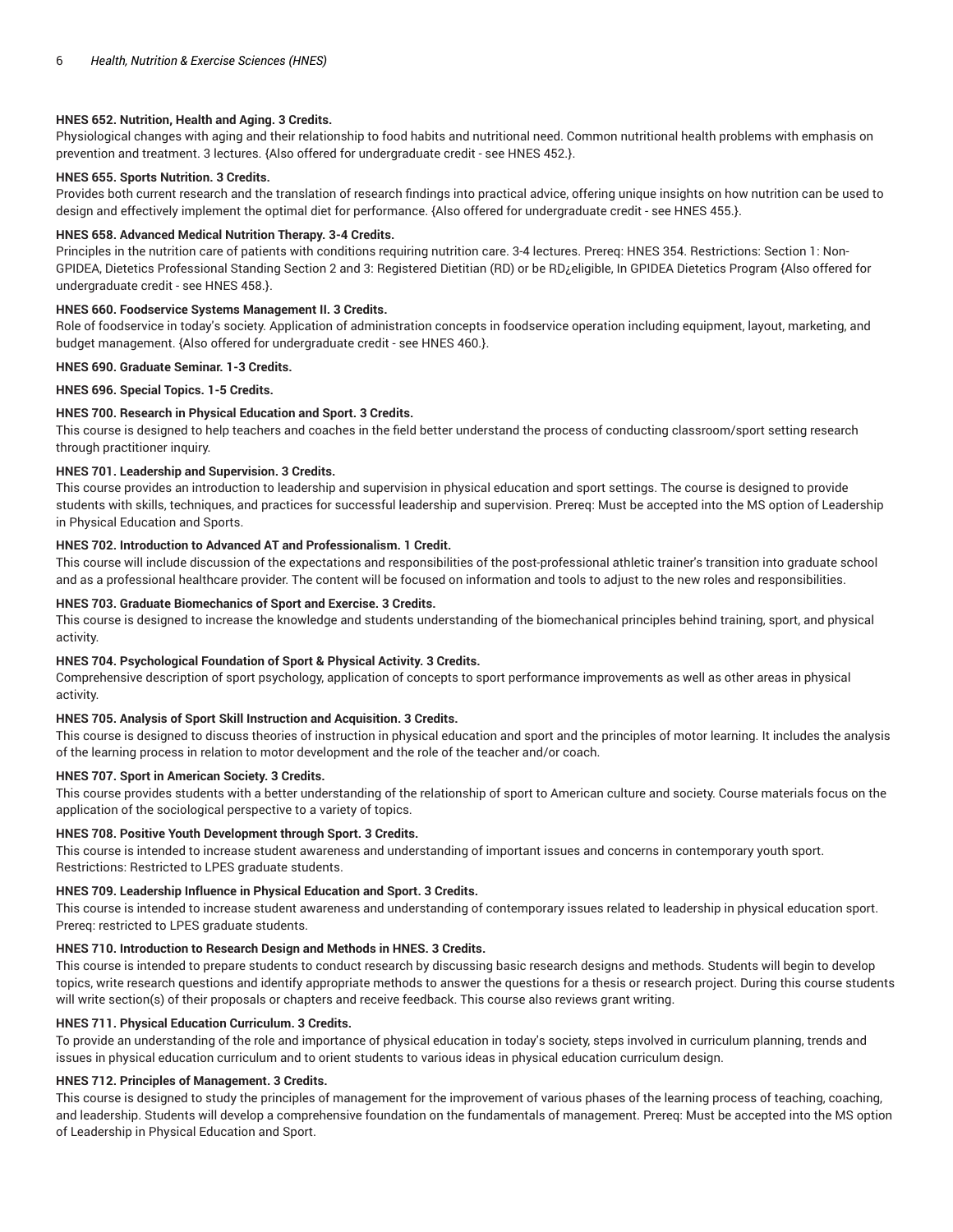# **HNES 652. Nutrition, Health and Aging. 3 Credits.**

Physiological changes with aging and their relationship to food habits and nutritional need. Common nutritional health problems with emphasis on prevention and treatment. 3 lectures. {Also offered for undergraduate credit - see HNES 452.}.

# **HNES 655. Sports Nutrition. 3 Credits.**

Provides both current research and the translation of research findings into practical advice, offering unique insights on how nutrition can be used to design and effectively implement the optimal diet for performance. {Also offered for undergraduate credit - see HNES 455.}.

# **HNES 658. Advanced Medical Nutrition Therapy. 3-4 Credits.**

Principles in the nutrition care of patients with conditions requiring nutrition care. 3-4 lectures. Prereq: HNES 354. Restrictions: Section 1: Non-GPIDEA, Dietetics Professional Standing Section 2 and 3: Registered Dietitian (RD) or be RD¿eligible, In GPIDEA Dietetics Program {Also offered for undergraduate credit - see HNES 458.}.

# **HNES 660. Foodservice Systems Management II. 3 Credits.**

Role of foodservice in today's society. Application of administration concepts in foodservice operation including equipment, layout, marketing, and budget management. {Also offered for undergraduate credit - see HNES 460.}.

# **HNES 690. Graduate Seminar. 1-3 Credits.**

**HNES 696. Special Topics. 1-5 Credits.**

# **HNES 700. Research in Physical Education and Sport. 3 Credits.**

This course is designed to help teachers and coaches in the field better understand the process of conducting classroom/sport setting research through practitioner inquiry.

# **HNES 701. Leadership and Supervision. 3 Credits.**

This course provides an introduction to leadership and supervision in physical education and sport settings. The course is designed to provide students with skills, techniques, and practices for successful leadership and supervision. Prereq: Must be accepted into the MS option of Leadership in Physical Education and Sports.

# **HNES 702. Introduction to Advanced AT and Professionalism. 1 Credit.**

This course will include discussion of the expectations and responsibilities of the post-professional athletic trainer's transition into graduate school and as a professional healthcare provider. The content will be focused on information and tools to adjust to the new roles and responsibilities.

# **HNES 703. Graduate Biomechanics of Sport and Exercise. 3 Credits.**

This course is designed to increase the knowledge and students understanding of the biomechanical principles behind training, sport, and physical activity.

# **HNES 704. Psychological Foundation of Sport & Physical Activity. 3 Credits.**

Comprehensive description of sport psychology, application of concepts to sport performance improvements as well as other areas in physical activity.

# **HNES 705. Analysis of Sport Skill Instruction and Acquisition. 3 Credits.**

This course is designed to discuss theories of instruction in physical education and sport and the principles of motor learning. It includes the analysis of the learning process in relation to motor development and the role of the teacher and/or coach.

# **HNES 707. Sport in American Society. 3 Credits.**

This course provides students with a better understanding of the relationship of sport to American culture and society. Course materials focus on the application of the sociological perspective to a variety of topics.

# **HNES 708. Positive Youth Development through Sport. 3 Credits.**

This course is intended to increase student awareness and understanding of important issues and concerns in contemporary youth sport. Restrictions: Restricted to LPES graduate students.

# **HNES 709. Leadership Influence in Physical Education and Sport. 3 Credits.**

This course is intended to increase student awareness and understanding of contemporary issues related to leadership in physical education sport. Prereq: restricted to LPES graduate students.

# **HNES 710. Introduction to Research Design and Methods in HNES. 3 Credits.**

This course is intended to prepare students to conduct research by discussing basic research designs and methods. Students will begin to develop topics, write research questions and identify appropriate methods to answer the questions for a thesis or research project. During this course students will write section(s) of their proposals or chapters and receive feedback. This course also reviews grant writing.

# **HNES 711. Physical Education Curriculum. 3 Credits.**

To provide an understanding of the role and importance of physical education in today's society, steps involved in curriculum planning, trends and issues in physical education curriculum and to orient students to various ideas in physical education curriculum design.

# **HNES 712. Principles of Management. 3 Credits.**

This course is designed to study the principles of management for the improvement of various phases of the learning process of teaching, coaching, and leadership. Students will develop a comprehensive foundation on the fundamentals of management. Prereq: Must be accepted into the MS option of Leadership in Physical Education and Sport.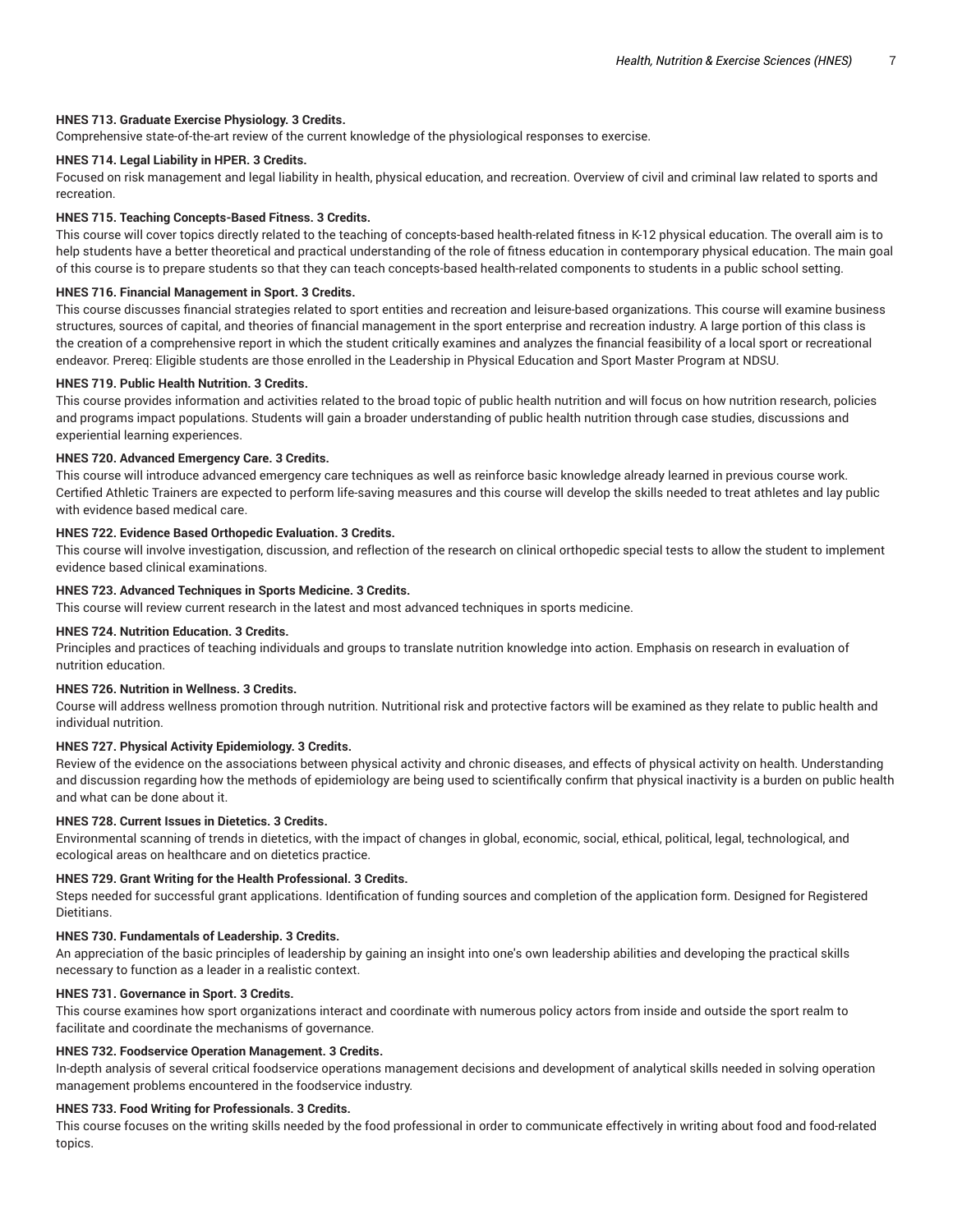### **HNES 713. Graduate Exercise Physiology. 3 Credits.**

Comprehensive state-of-the-art review of the current knowledge of the physiological responses to exercise.

### **HNES 714. Legal Liability in HPER. 3 Credits.**

Focused on risk management and legal liability in health, physical education, and recreation. Overview of civil and criminal law related to sports and recreation.

### **HNES 715. Teaching Concepts-Based Fitness. 3 Credits.**

This course will cover topics directly related to the teaching of concepts-based health-related fitness in K-12 physical education. The overall aim is to help students have a better theoretical and practical understanding of the role of fitness education in contemporary physical education. The main goal of this course is to prepare students so that they can teach concepts-based health-related components to students in a public school setting.

### **HNES 716. Financial Management in Sport. 3 Credits.**

This course discusses financial strategies related to sport entities and recreation and leisure-based organizations. This course will examine business structures, sources of capital, and theories of financial management in the sport enterprise and recreation industry. A large portion of this class is the creation of a comprehensive report in which the student critically examines and analyzes the financial feasibility of a local sport or recreational endeavor. Prereq: Eligible students are those enrolled in the Leadership in Physical Education and Sport Master Program at NDSU.

### **HNES 719. Public Health Nutrition. 3 Credits.**

This course provides information and activities related to the broad topic of public health nutrition and will focus on how nutrition research, policies and programs impact populations. Students will gain a broader understanding of public health nutrition through case studies, discussions and experiential learning experiences.

### **HNES 720. Advanced Emergency Care. 3 Credits.**

This course will introduce advanced emergency care techniques as well as reinforce basic knowledge already learned in previous course work. Certified Athletic Trainers are expected to perform life-saving measures and this course will develop the skills needed to treat athletes and lay public with evidence based medical care.

### **HNES 722. Evidence Based Orthopedic Evaluation. 3 Credits.**

This course will involve investigation, discussion, and reflection of the research on clinical orthopedic special tests to allow the student to implement evidence based clinical examinations.

### **HNES 723. Advanced Techniques in Sports Medicine. 3 Credits.**

This course will review current research in the latest and most advanced techniques in sports medicine.

# **HNES 724. Nutrition Education. 3 Credits.**

Principles and practices of teaching individuals and groups to translate nutrition knowledge into action. Emphasis on research in evaluation of nutrition education.

# **HNES 726. Nutrition in Wellness. 3 Credits.**

Course will address wellness promotion through nutrition. Nutritional risk and protective factors will be examined as they relate to public health and individual nutrition.

### **HNES 727. Physical Activity Epidemiology. 3 Credits.**

Review of the evidence on the associations between physical activity and chronic diseases, and effects of physical activity on health. Understanding and discussion regarding how the methods of epidemiology are being used to scientifically confirm that physical inactivity is a burden on public health and what can be done about it.

# **HNES 728. Current Issues in Dietetics. 3 Credits.**

Environmental scanning of trends in dietetics, with the impact of changes in global, economic, social, ethical, political, legal, technological, and ecological areas on healthcare and on dietetics practice.

### **HNES 729. Grant Writing for the Health Professional. 3 Credits.**

Steps needed for successful grant applications. Identification of funding sources and completion of the application form. Designed for Registered Dietitians.

### **HNES 730. Fundamentals of Leadership. 3 Credits.**

An appreciation of the basic principles of leadership by gaining an insight into one's own leadership abilities and developing the practical skills necessary to function as a leader in a realistic context.

#### **HNES 731. Governance in Sport. 3 Credits.**

This course examines how sport organizations interact and coordinate with numerous policy actors from inside and outside the sport realm to facilitate and coordinate the mechanisms of governance.

### **HNES 732. Foodservice Operation Management. 3 Credits.**

In-depth analysis of several critical foodservice operations management decisions and development of analytical skills needed in solving operation management problems encountered in the foodservice industry.

### **HNES 733. Food Writing for Professionals. 3 Credits.**

This course focuses on the writing skills needed by the food professional in order to communicate effectively in writing about food and food-related topics.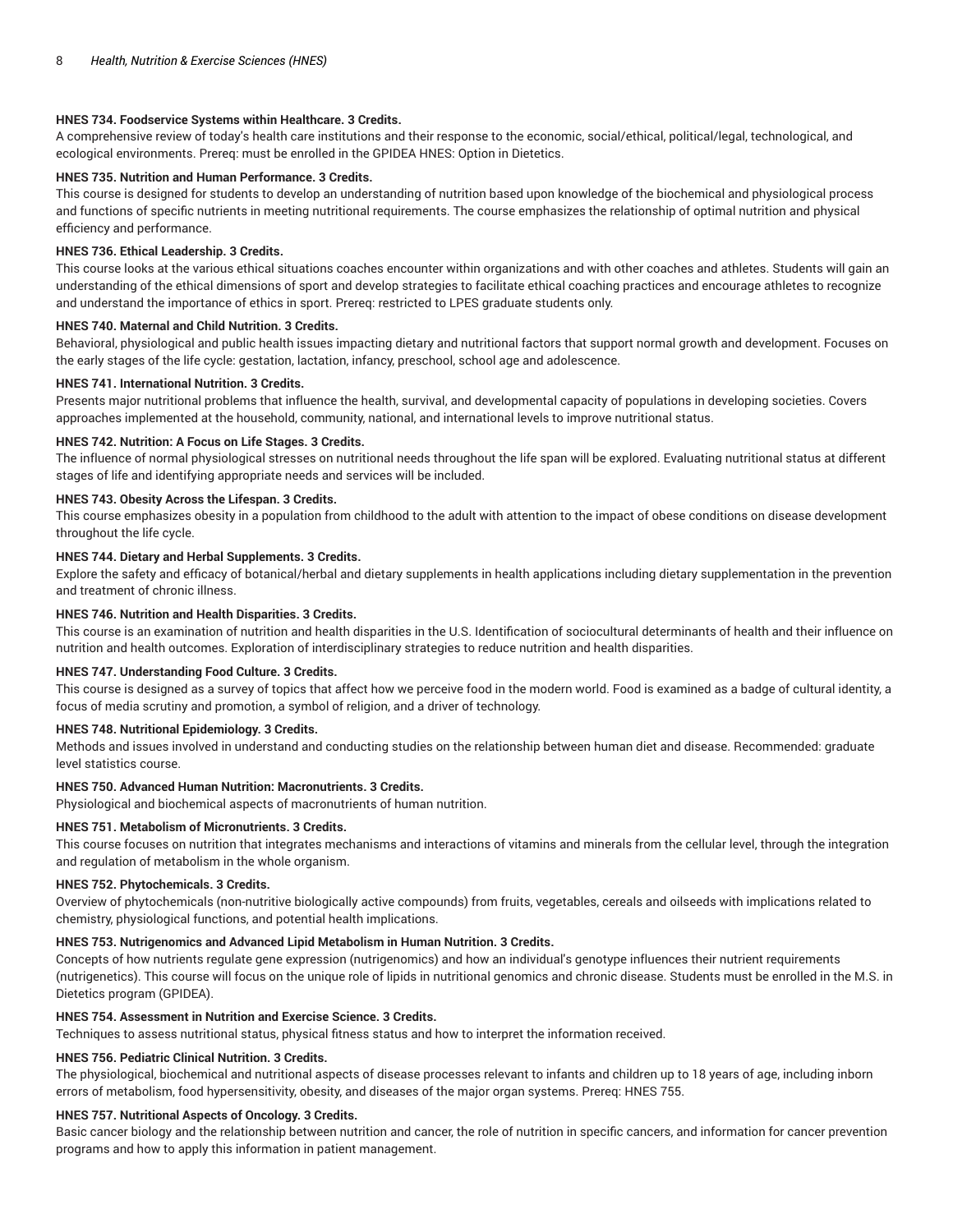# **HNES 734. Foodservice Systems within Healthcare. 3 Credits.**

A comprehensive review of today's health care institutions and their response to the economic, social/ethical, political/legal, technological, and ecological environments. Prereq: must be enrolled in the GPIDEA HNES: Option in Dietetics.

# **HNES 735. Nutrition and Human Performance. 3 Credits.**

This course is designed for students to develop an understanding of nutrition based upon knowledge of the biochemical and physiological process and functions of specific nutrients in meeting nutritional requirements. The course emphasizes the relationship of optimal nutrition and physical efficiency and performance.

### **HNES 736. Ethical Leadership. 3 Credits.**

This course looks at the various ethical situations coaches encounter within organizations and with other coaches and athletes. Students will gain an understanding of the ethical dimensions of sport and develop strategies to facilitate ethical coaching practices and encourage athletes to recognize and understand the importance of ethics in sport. Prereq: restricted to LPES graduate students only.

### **HNES 740. Maternal and Child Nutrition. 3 Credits.**

Behavioral, physiological and public health issues impacting dietary and nutritional factors that support normal growth and development. Focuses on the early stages of the life cycle: gestation, lactation, infancy, preschool, school age and adolescence.

### **HNES 741. International Nutrition. 3 Credits.**

Presents major nutritional problems that influence the health, survival, and developmental capacity of populations in developing societies. Covers approaches implemented at the household, community, national, and international levels to improve nutritional status.

### **HNES 742. Nutrition: A Focus on Life Stages. 3 Credits.**

The influence of normal physiological stresses on nutritional needs throughout the life span will be explored. Evaluating nutritional status at different stages of life and identifying appropriate needs and services will be included.

### **HNES 743. Obesity Across the Lifespan. 3 Credits.**

This course emphasizes obesity in a population from childhood to the adult with attention to the impact of obese conditions on disease development throughout the life cycle.

### **HNES 744. Dietary and Herbal Supplements. 3 Credits.**

Explore the safety and efficacy of botanical/herbal and dietary supplements in health applications including dietary supplementation in the prevention and treatment of chronic illness.

# **HNES 746. Nutrition and Health Disparities. 3 Credits.**

This course is an examination of nutrition and health disparities in the U.S. Identification of sociocultural determinants of health and their influence on nutrition and health outcomes. Exploration of interdisciplinary strategies to reduce nutrition and health disparities.

### **HNES 747. Understanding Food Culture. 3 Credits.**

This course is designed as a survey of topics that affect how we perceive food in the modern world. Food is examined as a badge of cultural identity, a focus of media scrutiny and promotion, a symbol of religion, and a driver of technology.

### **HNES 748. Nutritional Epidemiology. 3 Credits.**

Methods and issues involved in understand and conducting studies on the relationship between human diet and disease. Recommended: graduate level statistics course.

### **HNES 750. Advanced Human Nutrition: Macronutrients. 3 Credits.**

Physiological and biochemical aspects of macronutrients of human nutrition.

### **HNES 751. Metabolism of Micronutrients. 3 Credits.**

This course focuses on nutrition that integrates mechanisms and interactions of vitamins and minerals from the cellular level, through the integration and regulation of metabolism in the whole organism.

### **HNES 752. Phytochemicals. 3 Credits.**

Overview of phytochemicals (non-nutritive biologically active compounds) from fruits, vegetables, cereals and oilseeds with implications related to chemistry, physiological functions, and potential health implications.

### **HNES 753. Nutrigenomics and Advanced Lipid Metabolism in Human Nutrition. 3 Credits.**

Concepts of how nutrients regulate gene expression (nutrigenomics) and how an individual's genotype influences their nutrient requirements (nutrigenetics). This course will focus on the unique role of lipids in nutritional genomics and chronic disease. Students must be enrolled in the M.S. in Dietetics program (GPIDEA).

# **HNES 754. Assessment in Nutrition and Exercise Science. 3 Credits.**

Techniques to assess nutritional status, physical fitness status and how to interpret the information received.

# **HNES 756. Pediatric Clinical Nutrition. 3 Credits.**

The physiological, biochemical and nutritional aspects of disease processes relevant to infants and children up to 18 years of age, including inborn errors of metabolism, food hypersensitivity, obesity, and diseases of the major organ systems. Prereq: HNES 755.

# **HNES 757. Nutritional Aspects of Oncology. 3 Credits.**

Basic cancer biology and the relationship between nutrition and cancer, the role of nutrition in specific cancers, and information for cancer prevention programs and how to apply this information in patient management.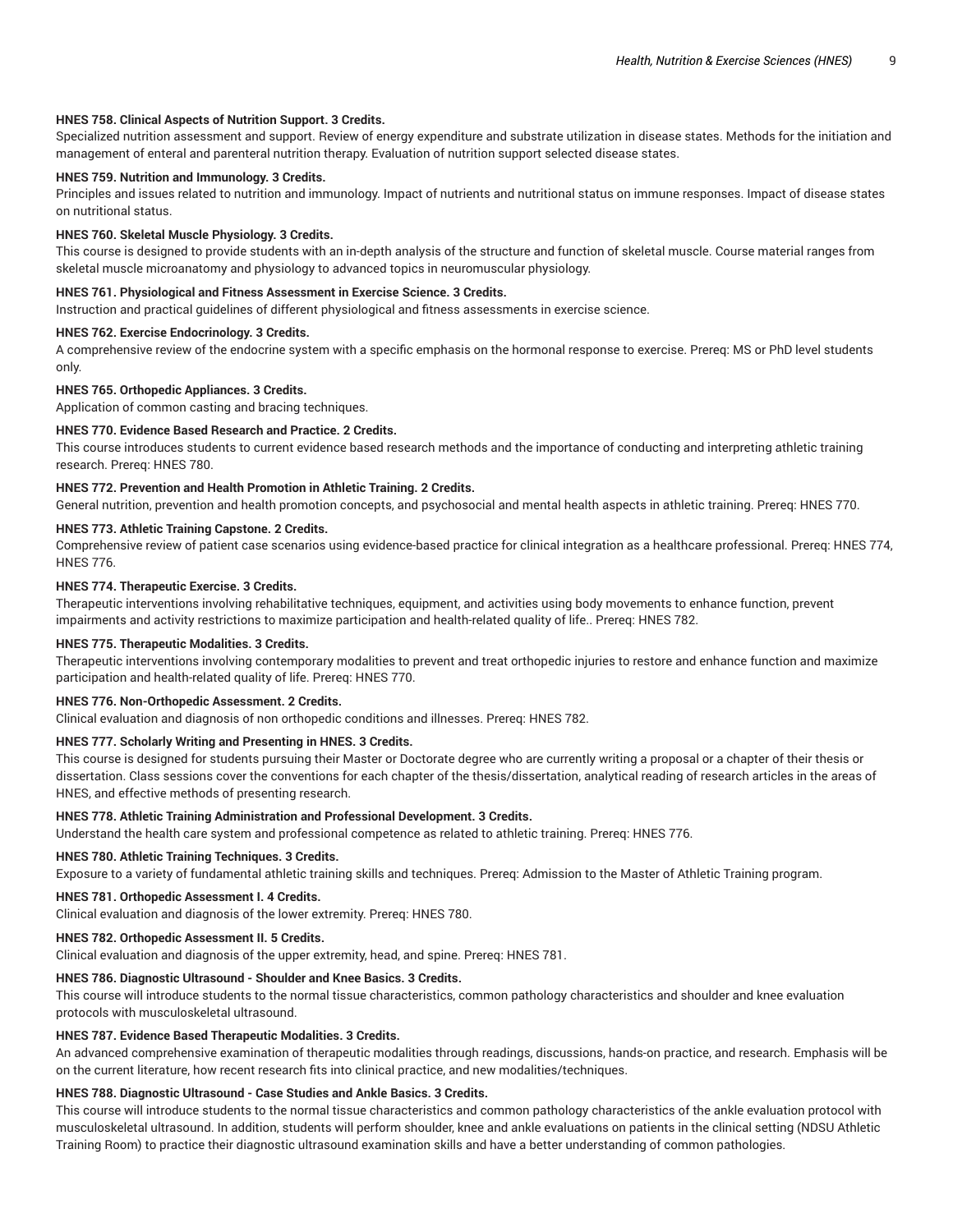### **HNES 758. Clinical Aspects of Nutrition Support. 3 Credits.**

Specialized nutrition assessment and support. Review of energy expenditure and substrate utilization in disease states. Methods for the initiation and management of enteral and parenteral nutrition therapy. Evaluation of nutrition support selected disease states.

# **HNES 759. Nutrition and Immunology. 3 Credits.**

Principles and issues related to nutrition and immunology. Impact of nutrients and nutritional status on immune responses. Impact of disease states on nutritional status.

### **HNES 760. Skeletal Muscle Physiology. 3 Credits.**

This course is designed to provide students with an in-depth analysis of the structure and function of skeletal muscle. Course material ranges from skeletal muscle microanatomy and physiology to advanced topics in neuromuscular physiology.

# **HNES 761. Physiological and Fitness Assessment in Exercise Science. 3 Credits.**

Instruction and practical guidelines of different physiological and fitness assessments in exercise science.

### **HNES 762. Exercise Endocrinology. 3 Credits.**

A comprehensive review of the endocrine system with a specific emphasis on the hormonal response to exercise. Prereq: MS or PhD level students only.

### **HNES 765. Orthopedic Appliances. 3 Credits.**

Application of common casting and bracing techniques.

#### **HNES 770. Evidence Based Research and Practice. 2 Credits.**

This course introduces students to current evidence based research methods and the importance of conducting and interpreting athletic training research. Prereq: HNES 780.

### **HNES 772. Prevention and Health Promotion in Athletic Training. 2 Credits.**

General nutrition, prevention and health promotion concepts, and psychosocial and mental health aspects in athletic training. Prereq: HNES 770.

# **HNES 773. Athletic Training Capstone. 2 Credits.**

Comprehensive review of patient case scenarios using evidence-based practice for clinical integration as a healthcare professional. Prereq: HNES 774, HNES 776.

#### **HNES 774. Therapeutic Exercise. 3 Credits.**

Therapeutic interventions involving rehabilitative techniques, equipment, and activities using body movements to enhance function, prevent impairments and activity restrictions to maximize participation and health-related quality of life.. Prereq: HNES 782.

### **HNES 775. Therapeutic Modalities. 3 Credits.**

Therapeutic interventions involving contemporary modalities to prevent and treat orthopedic injuries to restore and enhance function and maximize participation and health-related quality of life. Prereq: HNES 770.

#### **HNES 776. Non-Orthopedic Assessment. 2 Credits.**

Clinical evaluation and diagnosis of non orthopedic conditions and illnesses. Prereq: HNES 782.

# **HNES 777. Scholarly Writing and Presenting in HNES. 3 Credits.**

This course is designed for students pursuing their Master or Doctorate degree who are currently writing a proposal or a chapter of their thesis or dissertation. Class sessions cover the conventions for each chapter of the thesis/dissertation, analytical reading of research articles in the areas of HNES, and effective methods of presenting research.

### **HNES 778. Athletic Training Administration and Professional Development. 3 Credits.**

Understand the health care system and professional competence as related to athletic training. Prereq: HNES 776.

### **HNES 780. Athletic Training Techniques. 3 Credits.**

Exposure to a variety of fundamental athletic training skills and techniques. Prereq: Admission to the Master of Athletic Training program.

### **HNES 781. Orthopedic Assessment I. 4 Credits.**

Clinical evaluation and diagnosis of the lower extremity. Prereq: HNES 780.

# **HNES 782. Orthopedic Assessment II. 5 Credits.**

Clinical evaluation and diagnosis of the upper extremity, head, and spine. Prereq: HNES 781.

### **HNES 786. Diagnostic Ultrasound - Shoulder and Knee Basics. 3 Credits.**

This course will introduce students to the normal tissue characteristics, common pathology characteristics and shoulder and knee evaluation protocols with musculoskeletal ultrasound.

# **HNES 787. Evidence Based Therapeutic Modalities. 3 Credits.**

An advanced comprehensive examination of therapeutic modalities through readings, discussions, hands-on practice, and research. Emphasis will be on the current literature, how recent research fits into clinical practice, and new modalities/techniques.

# **HNES 788. Diagnostic Ultrasound - Case Studies and Ankle Basics. 3 Credits.**

This course will introduce students to the normal tissue characteristics and common pathology characteristics of the ankle evaluation protocol with musculoskeletal ultrasound. In addition, students will perform shoulder, knee and ankle evaluations on patients in the clinical setting (NDSU Athletic Training Room) to practice their diagnostic ultrasound examination skills and have a better understanding of common pathologies.